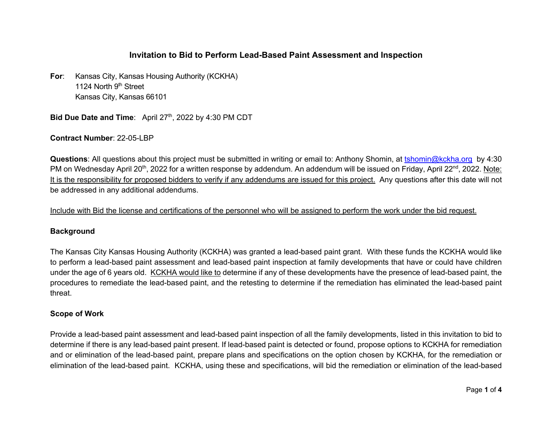## **Invitation to Bid to Perform Lead-Based Paint Assessment and Inspection**

**For**: Kansas City, Kansas Housing Authority (KCKHA) 1124 North 9<sup>th</sup> Street Kansas City, Kansas 66101

**Bid Due Date and Time:** April 27<sup>th</sup>, 2022 by 4:30 PM CDT

**Contract Number**: 22-05-LBP

**Questions**: All questions about this project must be submitted in writing or email to: Anthony Shomin, at tshomin@kckha.org by 4:30 PM on Wednesday April 20<sup>th</sup>, 2022 for a written response by addendum. An addendum will be issued on Friday, April 22<sup>nd</sup>, 2022. Note: It is the responsibility for proposed bidders to verify if any addendums are issued for this project. Any questions after this date will not be addressed in any additional addendums.

Include with Bid the license and certifications of the personnel who will be assigned to perform the work under the bid request.

### **Background**

The Kansas City Kansas Housing Authority (KCKHA) was granted a lead-based paint grant. With these funds the KCKHA would like to perform a lead-based paint assessment and lead-based paint inspection at family developments that have or could have children under the age of 6 years old. KCKHA would like to determine if any of these developments have the presence of lead-based paint, the procedures to remediate the lead-based paint, and the retesting to determine if the remediation has eliminated the lead-based paint threat.

### **Scope of Work**

Provide a lead-based paint assessment and lead-based paint inspection of all the family developments, listed in this invitation to bid to determine if there is any lead-based paint present. If lead-based paint is detected or found, propose options to KCKHA for remediation and or elimination of the lead-based paint, prepare plans and specifications on the option chosen by KCKHA, for the remediation or elimination of the lead-based paint. KCKHA, using these and specifications, will bid the remediation or elimination of the lead-based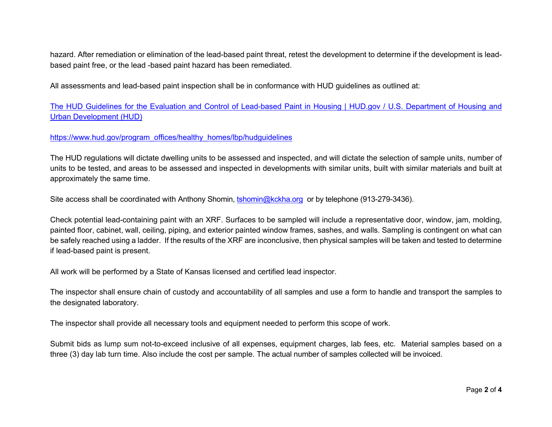hazard. After remediation or elimination of the lead-based paint threat, retest the development to determine if the development is leadbased paint free, or the lead -based paint hazard has been remediated.

All assessments and lead-based paint inspection shall be in conformance with HUD guidelines as outlined at:

The HUD Guidelines for the Evaluation and Control of Lead-based Paint in Housing | HUD.gov / U.S. Department of Housing and Urban Development (HUD)

https://www.hud.gov/program\_offices/healthy\_homes/lbp/hudguidelines

The HUD regulations will dictate dwelling units to be assessed and inspected, and will dictate the selection of sample units, number of units to be tested, and areas to be assessed and inspected in developments with similar units, built with similar materials and built at approximately the same time.

Site access shall be coordinated with Anthony Shomin, tshomin@kckha.org or by telephone (913-279-3436).

Check potential lead-containing paint with an XRF. Surfaces to be sampled will include a representative door, window, jam, molding, painted floor, cabinet, wall, ceiling, piping, and exterior painted window frames, sashes, and walls. Sampling is contingent on what can be safely reached using a ladder. If the results of the XRF are inconclusive, then physical samples will be taken and tested to determine if lead-based paint is present.

All work will be performed by a State of Kansas licensed and certified lead inspector.

The inspector shall ensure chain of custody and accountability of all samples and use a form to handle and transport the samples to the designated laboratory.

The inspector shall provide all necessary tools and equipment needed to perform this scope of work.

Submit bids as lump sum not-to-exceed inclusive of all expenses, equipment charges, lab fees, etc. Material samples based on a three (3) day lab turn time. Also include the cost per sample. The actual number of samples collected will be invoiced.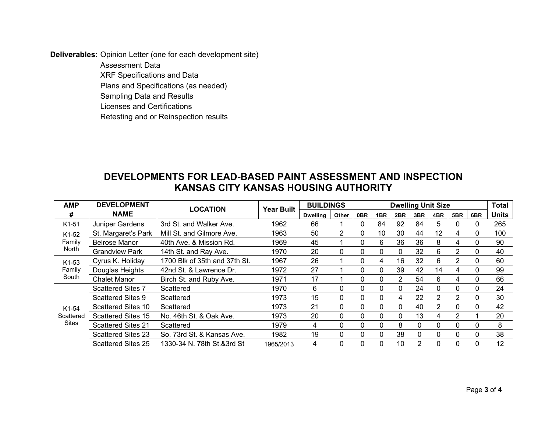**Deliverables**: Opinion Letter (one for each development site)

Assessment Data XRF Specifications and Data Plans and Specifications (as needed) Sampling Data and Results Licenses and Certifications Retesting and or Reinspection results

# **DEVELOPMENTS FOR LEAD-BASED PAINT ASSESSMENT AND INSPECTION KANSAS CITY KANSAS HOUSING AUTHORITY**

| <b>AMP</b>                         | <b>DEVELOPMENT</b>        | <b>LOCATION</b>               | <b>Year Built</b> | <b>BUILDINGS</b> |                | <b>Dwelling Unit Size</b> |          |          |               |                   |               |          | <b>Total</b> |
|------------------------------------|---------------------------|-------------------------------|-------------------|------------------|----------------|---------------------------|----------|----------|---------------|-------------------|---------------|----------|--------------|
| #                                  | <b>NAME</b>               |                               |                   | <b>Dwelling</b>  | Other          | 0BR                       | 1BR      | 2BR      | 3BR           | 4BR               | 5BR           | 6BR      | <b>Units</b> |
| K1-51                              | Juniper Gardens           | 3rd St. and Walker Ave.       | 1962              | 66               |                | 0                         | 84       | 92       | 84            | 5                 | 0             | 0        | 265          |
| K1-52<br>Family<br>North           | St. Margaret's Park       | Mill St. and Gilmore Ave.     | 1963              | 50               | $\overline{2}$ | $\Omega$                  | 10       | 30       | 44            | $12 \overline{ }$ | 4             | $\Omega$ | 100          |
|                                    | <b>Belrose Manor</b>      | 40th Ave. & Mission Rd.       | 1969              | 45               |                | 0                         | 6        | 36       | 36            | 8                 | 4             | 0        | 90           |
|                                    | <b>Grandview Park</b>     | 14th St. and Ray Ave.         | 1970              | 20               | 0              | 0                         | 0        | 0        | 32            | 6                 | 2             | $\Omega$ | 40           |
| K1-53<br>Family<br>South           | Cyrus K. Holiday          | 1700 Blk of 35th and 37th St. | 1967              | 26               |                | $\Omega$                  | 4        | 16       | 32            | 6                 | $\mathcal{P}$ | $\Omega$ | 60           |
|                                    | Douglas Heights           | 42nd St. & Lawrence Dr.       | 1972              | 27               |                | 0                         | 0        | 39       | 42            | 14                | 4             | 0        | 99           |
|                                    | <b>Chalet Manor</b>       | Birch St. and Ruby Ave.       | 1971              | 17               |                | 0                         | 0        | 2        | 54            | 6                 | 4             | $\Omega$ | 66           |
| K1-54<br>Scattered<br><b>Sites</b> | <b>Scattered Sites 7</b>  | Scattered                     | 1970              | 6                | $\Omega$       | $\Omega$                  | $\Omega$ | $\Omega$ | 24            | $\mathbf{0}$      | $\Omega$      | $\Omega$ | 24           |
|                                    | <b>Scattered Sites 9</b>  | Scattered                     | 1973              | 15               | 0              | $\mathbf{0}$              | 0        | 4        | 22            | 2                 | 2             | $\Omega$ | 30           |
|                                    | Scattered Sites 10        | Scattered                     | 1973              | 21               | 0              | 0                         | 0        | 0        | 40            | 2                 | 0             | $\Omega$ | 42           |
|                                    | <b>Scattered Sites 15</b> | No. 46th St. & Oak Ave.       | 1973              | 20               | $\Omega$       | $\Omega$                  | $\Omega$ | $\Omega$ | 13            | 4                 | $\mathcal{P}$ |          | 20           |
|                                    | <b>Scattered Sites 21</b> | Scattered                     | 1979              | 4                | 0              | $\mathbf{0}$              | 0        | 8        | $\Omega$      | $\mathbf{0}$      | 0             | $\Omega$ | 8            |
|                                    | <b>Scattered Sites 23</b> | So. 73rd St. & Kansas Ave.    | 1982              | 19               | $\Omega$       | 0                         | $\Omega$ | 38       | $\Omega$      | $\mathbf{0}$      | 0             | $\Omega$ | 38           |
|                                    | <b>Scattered Sites 25</b> | 1330-34 N. 78th St.&3rd St    | 1965/2013         | 4                |                | 0                         | $\Omega$ | 10       | $\mathcal{P}$ | 0                 | 0             | $\Omega$ | 12           |